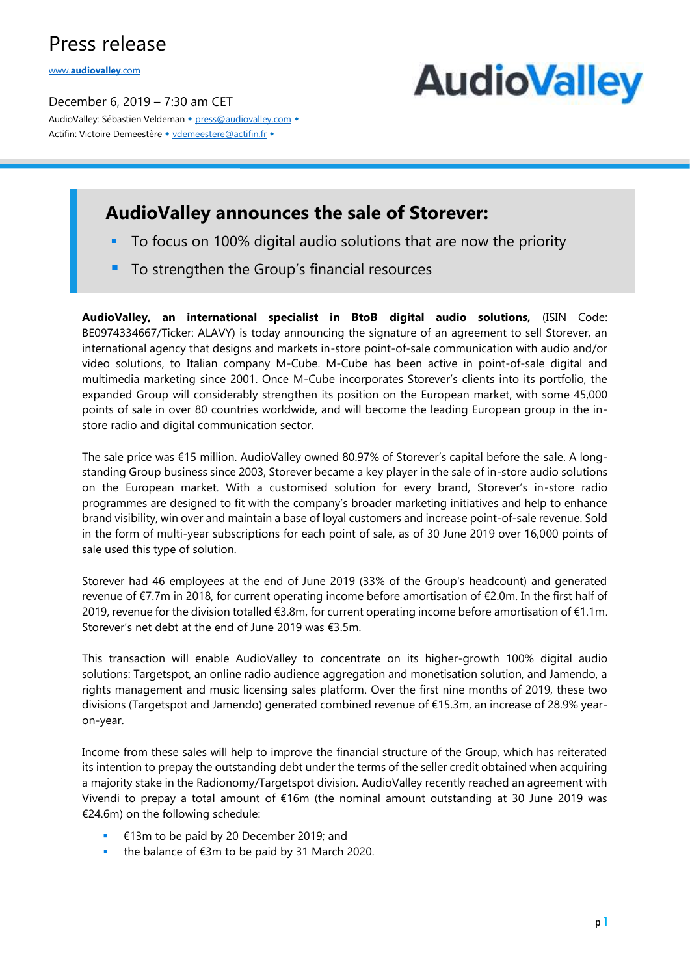# Press release

www.**[audiovalley](http://www.audiovalley.com/)**.com

December 6, 2019 – 7:30 am CET AudioValley: Sébastien Veldeman + [press@audiovalley.com](mailto:press@audiovalley.com) + Actifin: Victoire Demeestère • [vdemeestere@actifin.fr](mailto:vdemeestere@actifin.fr?subject=AUDIOVALLEY%20Question) •



### **AudioValley announces the sale of Storever:**

- To focus on 100% digital audio solutions that are now the priority
- To strengthen the Group's financial resources

**AudioValley, an international specialist in BtoB digital audio solutions,** (ISIN Code: BE0974334667/Ticker: ALAVY) is today announcing the signature of an agreement to sell Storever, an international agency that designs and markets in-store point-of-sale communication with audio and/or video solutions, to Italian company M-Cube. M-Cube has been active in point-of-sale digital and multimedia marketing since 2001. Once M-Cube incorporates Storever's clients into its portfolio, the expanded Group will considerably strengthen its position on the European market, with some 45,000 points of sale in over 80 countries worldwide, and will become the leading European group in the instore radio and digital communication sector.

The sale price was €15 million. AudioValley owned 80.97% of Storever's capital before the sale. A longstanding Group business since 2003, Storever became a key player in the sale of in-store audio solutions on the European market. With a customised solution for every brand, Storever's in-store radio programmes are designed to fit with the company's broader marketing initiatives and help to enhance brand visibility, win over and maintain a base of loyal customers and increase point-of-sale revenue. Sold in the form of multi-year subscriptions for each point of sale, as of 30 June 2019 over 16,000 points of sale used this type of solution.

Storever had 46 employees at the end of June 2019 (33% of the Group's headcount) and generated revenue of €7.7m in 2018, for current operating income before amortisation of €2.0m. In the first half of 2019, revenue for the division totalled €3.8m, for current operating income before amortisation of €1.1m. Storever's net debt at the end of June 2019 was €3.5m.

This transaction will enable AudioValley to concentrate on its higher-growth 100% digital audio solutions: Targetspot, an online radio audience aggregation and monetisation solution, and Jamendo, a rights management and music licensing sales platform. Over the first nine months of 2019, these two divisions (Targetspot and Jamendo) generated combined revenue of €15.3m, an increase of 28.9% yearon-year.

Income from these sales will help to improve the financial structure of the Group, which has reiterated its intention to prepay the outstanding debt under the terms of the seller credit obtained when acquiring a majority stake in the Radionomy/Targetspot division. AudioValley recently reached an agreement with Vivendi to prepay a total amount of €16m (the nominal amount outstanding at 30 June 2019 was €24.6m) on the following schedule:

- €13m to be paid by 20 December 2019; and
- the balance of  $€3m$  to be paid by 31 March 2020.